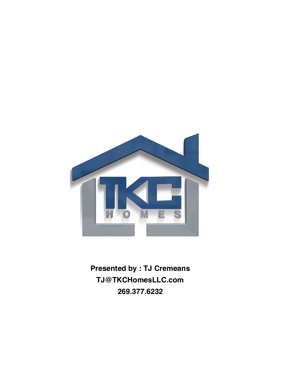

**Presented by : TJ Cremeans** TJ@TKCHomesLLC.com 269.377.6232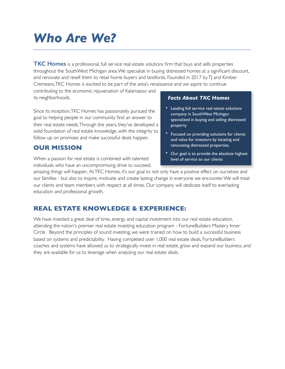# *Who Are We? \_\_\_\_\_\_\_\_\_\_\_\_\_\_\_\_\_\_\_\_\_\_\_\_\_\_\_\_\_\_\_\_\_\_\_\_\_\_\_\_\_\_\_\_\_\_\_\_\_\_\_\_\_\_\_\_\_\_\_\_\_\_\_\_\_\_\_\_\_\_\_\_*

**TKC Homes** is a professional, full service real estate solutions firm that buys and sells properties throughout the SouthWest Michigan area. We specialize in buying distressed homes at a significant discount, and renovate and resell them to retail home buyers and landlords. Founded in 2017 by TJ and Kimber Cremeans, TKC Homes is excited to be part of the area's renaissance and we aspire to continue

contributing to the economic rejuvenation of Kalamazoo and its neighborhoods.

Since its inception, TKC Homes has passionately pursued the goal to helping people in our community find an answer to their real estate needs. Through the years, they've developed a solid foundation of real estate knowledge, with the integrity to follow up on promises and make successful deals happen.

## **OUR MISSION**

When a passion for real estate is combined with talented individuals who have an uncompromising drive to succeed,

### *Facts About TKC Homes*

- Leading full service real estate solutions company in SouthWest Michigan specialized in buying and selling distressed property
- Focused on providing solutions for clients and value for investors by locating and renovating distressed properties.
- Our goal is to provide the absolute highest level of service to our clients

amazing things will happen. At TKC Homes, it's our goal to not only have a positive effect on ourselves and our families - but also to inspire, motivate and create lasting change in everyone we encounter. We will treat our clients and team members with respect at all times. Our company will dedicate itself to everlasting education and professional growth.

## **REAL ESTATE KNOWLEDGE & EXPERIENCE:**

We have invested a great deal of time, energy and capital investment into our real estate education, attending the nation's premier real estate investing education program - FortuneBuilders Mastery Inner Circle. Beyond the principles of sound investing, we were trained on how to build a successful business based on systems and predictability. Having completed over 1,000 real estate deals, FortuneBuilders coaches and systems have allowed us to strategically invest in real estate, grow and expand our business, and they are available for us to leverage when analyzing our real estate deals.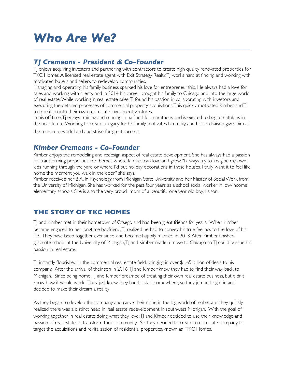# *Who Are We? \_\_\_\_\_\_\_\_\_\_\_\_\_\_\_\_\_\_\_\_\_\_\_\_\_\_\_\_\_\_\_\_\_\_\_\_\_\_\_\_\_\_\_\_\_\_\_\_\_\_\_\_\_\_\_\_\_\_\_\_\_\_\_\_\_\_\_\_\_\_\_\_*

## *TJ Cremeans - President & Co-Founder*

TJ enjoys acquiring investors and partnering with contractors to create high quality renovated properties for TKC Homes. A licensed real estate agent with Exit Strategy Realty, TJ works hard at finding and working with motivated buyers and sellers to redevelop communities.

Managing and operating his family business sparked his love for entrepreneurship. He always had a love for sales and working with clients, and in 2014 his career brought his family to Chicago and into the large world of real estate. While working in real estate sales, Tj found his passion in collaborating with investors and executing the detailed processes of commercial property acquisitions. This quickly motivated Kimber and Tj to transition into their own real estate investment ventures.

In his off time, Tj enjoys training and running in half and full marathons and is excited to begin triathlons in the near future. Working to create a legacy for his family motivates him daily, and his son Kaison gives him all

the reason to work hard and strive for great success.

### *Kimber Cremeans - Co-Founder*

Kimber enjoys the remodeling and redesign aspect of real estate development. She has always had a passion for transforming properties into homes where families can love and grow. "I always try to imagine my own kids running through the yard or where I'd put holiday decorations in these houses. I truly want it to feel like home the moment you walk in the door," she says.

Kimber received her B.A. In Psychology from Michigan State University and her Master of Social Work from the University of Michigan. She has worked for the past four years as a school social worker in low-income elementary schools. She is also the very proud mom of a beautiful one year old boy, Kaison.

## **THE STORY OF TKC HOMES**

TJ and Kimber met in their hometown of Otsego and had been great friends for years. When Kimber became engaged to her longtime boyfriend, T realized he had to convey his true feelings to the love of his life. They have been together ever since, and became happily married in 2013. After Kimber finished graduate school at the University of Michigan, TJ and Kimber made a move to Chicago so TJ could pursue his passion in real estate.

TJ instantly flourished in the commercial real estate field, bringing in over \$1.65 billion of deals to his company. After the arrival of their son in 2016, TJ and Kimber knew they had to find their way back to Michigan. Since being home, TJ and Kimber dreamed of creating their own real estate business, but didn't know how it would work. They just knew they had to start somewhere; so they jumped right in and decided to make their dream a reality.

As they began to develop the company and carve their niche in the big world of real estate, they quickly realized there was a distinct need in real estate redevelopment in southwest Michigan. With the goal of working together in real estate doing what they love, TJ and Kimber decided to use their knowledge and passion of real estate to transform their community. So they decided to create a real estate company to target the acquisitions and revitalization of residential properties, known as "TKC Homes."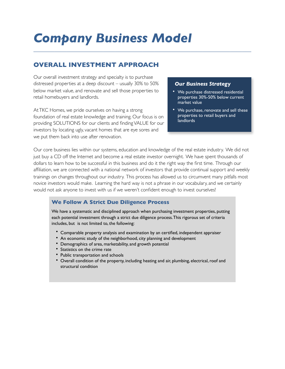# *Company Business Model*

## **OVERALL INVESTMENT APPROACH**

Our overall investment strategy and specialty is to purchase distressed properties at a deep discount – usually 30% to 50% below market value, and renovate and sell those properties to retail homebuyers and landlords.

At TKC Homes, we pride ourselves on having a strong foundation of real estate knowledge and training. Our focus is on providing SOLUTIONS for our clients and finding VALUE for our investors by locating ugly, vacant homes that are eye sores and we put them back into use after renovation.

#### *Our Business Strategy*

- We purchase distressed residential properties 30%-50% below current market value
- We purchase, renovate and sell these properties to retail buyers and landlords

Our core business lies within our systems, education and knowledge of the real estate industry. We did not just buy a CD off the Internet and become a real estate investor overnight. We have spent thousands of dollars to learn how to be successful in this business and do it the right way the first time. Through our affiliation, we are connected with a national network of investors that provide continual support and weekly trainings on changes throughout our industry. This process has allowed us to circumvent many pitfalls most novice investors would make. Learning the hard way is not a phrase in our vocabulary, and we certainly would not ask anyone to invest with us if we weren't confident enough to invest ourselves!

*\_\_\_\_\_\_\_\_\_\_\_\_\_\_\_\_\_\_\_\_\_\_\_\_\_\_\_\_\_\_\_\_\_\_\_\_\_\_\_\_\_\_\_\_\_\_\_\_\_\_\_\_\_\_\_\_\_\_\_\_\_\_\_\_\_\_\_\_\_\_\_\_*

### **We Follow A Strict Due Diligence Process**

We have a systematic and disciplined approach when purchasing investment properties, putting each potential investment through a strict due diligence process. This rigorous set of criteria includes, but is not limited to, the following:

- Comparable property analysis and examination by an certified, independent appraiser
- An economic study of the neighborhood, city planning and development
- Demographics of area, marketability, and growth potential
- Statistics on the crime rate
- Public transportation and schools
- Overall condition of the property, including heating and air, plumbing, electrical, roof and structural condition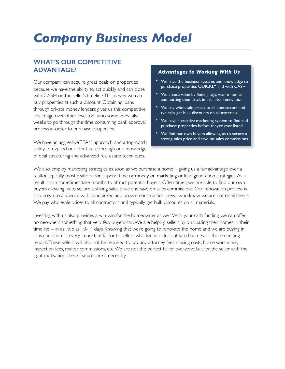## **WHAT'S OUR COMPETITIVE ADVANTAGE?**

Our company can acquire great deals on properties because we have the ability to act quickly and can close with CASH on the seller's timeline. This is why we can buy properties at such a discount. Obtaining loans through private money lenders gives us this competitive advantage over other investors who sometimes take weeks to go through the time consuming bank approval process in order to purchase properties.

We have an aggressive TEAM approach, and a top-notch ability to expand our client base through our knowledge of deal structuring and advanced real estate techniques.

### *Advantages to Working With Us*

- We have the business systems and knowledge to purchase properties QUICKLY and with CASH
- We create value by finding ugly, vacant homes and putting them back in use after renovation
- We pay wholesale prices to all contractors and typically get bulk discounts on all materials
- We have a creative marketing system to find and purchase properties before they're ever listed
- We find our own buyers allowing us to secure a strong sales price and save on sales commissions

We also employ marketing strategies as soon as we purchase a home - giving us a fair advantage over a realtor. Typically, most realtors don't spend time or money on marketing or lead generation strategies. As a result, it can sometimes take months to attract potential buyers. Often times, we are able to find our own buyers allowing us to secure a strong sales price and save on sales commissions. Our renovation process is also down to a science with handpicked and proven construction crews who know we are not retail clients. We pay wholesale prices to all contractors and typically get bulk discounts on all materials.

Investing with us also provides a win-win for the homeowner as well. With your cash funding, we can offer homeowners something that very few buyers can. We are helping sellers by purchasing their homes in their timeline -- in as little as 10-14 days. Knowing that we're going to renovate the home and we are buying in as-is condition is a very important factor to sellers who live in older, outdated homes, or those needing repairs. These sellers will also not be required to pay any attorney fees, closing costs, home warranties, inspection fees, realtor commissions, etc. We are not the perfect fit for everyone; but for the seller with the right motivation, these features are a necessity.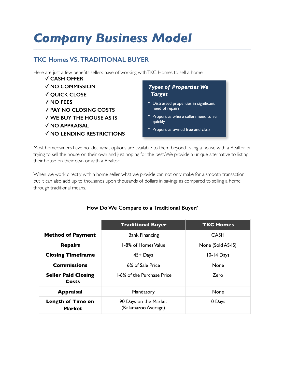## **TKC Homes VS. TRADITIONAL BUYER**

Here are just a few benefits sellers have of working with TKC Homes to sell a home:

- ✓ **CASH OFFER**
- ✓ **NO COMMISSION**
- ✓ **QUICK CLOSE**
- ✓ **NO FEES**
- ✓ **PAY NO CLOSING COSTS**
- ✓ **WE BUY THE HOUSE AS IS**
- ✓ **NO APPRAISAL**
- ✓ **NO LENDING RESTRICTIONS**

### *Types of Properties We Target*

- Distressed properties in significant need of repairs
- Properties where sellers need to sell quickly
- Properties owned free and clear

Most homeowners have no idea what options are available to them beyond listing a house with a Realtor or trying to sell the house on their own and just hoping for the best. We provide a unique alternative to listing their house on their own or with a Realtor.

When we work directly with a home seller, what we provide can not only make for a smooth transaction, but it can also add up to thousands upon thousands of dollars in savings as compared to selling a home through traditional means.

|                                           | <b>Traditional Buyer</b>                     | <b>TKC Homes</b>  |
|-------------------------------------------|----------------------------------------------|-------------------|
| <b>Method of Payment</b>                  | <b>Bank Financing</b>                        | CASH              |
| <b>Repairs</b>                            | 1-8% of Homes Value                          | None (Sold AS-IS) |
| <b>Closing Timeframe</b>                  | $45 +$ Days                                  | 10-14 Days        |
| <b>Commissions</b>                        | 6% of Sale Price                             | <b>None</b>       |
| <b>Seller Paid Closing</b><br>Costs       | 1-6% of the Purchase Price                   | Zero              |
| <b>Appraisal</b>                          | Mandatory                                    | <b>None</b>       |
| <b>Length of Time on</b><br><b>Market</b> | 90 Days on the Market<br>(Kalamazoo Average) | 0 Days            |

### **How Do We Compare to a Traditional Buyer?**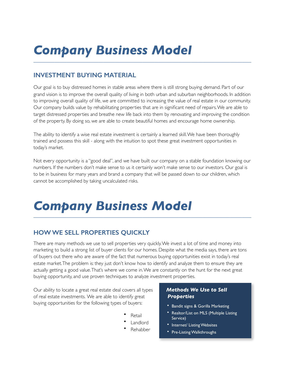# **INVESTMENT BUYING MATERIAL**

Our goal is to buy distressed homes in stable areas where there is still strong buying demand. Part of our grand vision is to improve the overall quality of living in both urban and suburban neighborhoods. In addition to improving overall quality of life, we are committed to increasing the value of real estate in our community. Our company builds value by rehabilitating properties that are in significant need of repairs. We are able to target distressed properties and breathe new life back into them by renovating and improving the condition of the property. By doing so, we are able to create beautiful homes and encourage home ownership.

The ability to identify a wise real estate investment is certainly a learned skill. We have been thoroughly trained and possess this skill - along with the intuition to spot these great investment opportunities in today's market.

Not every opportunity is a "good deal", and we have built our company on a stable foundation knowing our numbers. If the numbers don't make sense to us it certainly won't make sense to our investors. Our goal is to be in business for many years and brand a company that will be passed down to our children, which cannot be accomplished by taking uncalculated risks.

# *Company Business Model \_\_\_\_\_\_\_\_\_\_\_\_\_\_\_\_\_\_\_\_\_\_\_\_\_\_\_\_\_\_\_\_\_\_\_\_\_\_\_\_\_\_\_\_\_\_\_\_\_\_\_\_\_\_\_\_\_\_\_\_\_\_\_\_\_\_\_\_\_\_\_\_*

## **HOW WE SELL PROPERTIES QUICKLY**

There are many methods we use to sell properties very quickly. We invest a lot of time and money into marketing to build a strong list of buyer clients for our homes. Despite what the media says, there are tons of buyers out there who are aware of the fact that numerous buying opportunities exist in today's real estate market.The problem is: they just don't know how to identify and analyze them to ensure they are actually getting a good value. That's where we come in. We are constantly on the hunt for the next great buying opportunity, and use proven techniques to analyze investment properties.

Our ability to locate a great real estate deal covers all types of real estate investments. We are able to identify great buying opportunities for the following types of buyers:

- **Retail**
- **Landlord**
- Rehabber

### *Methods We Use to Sell Properties*

- Bandit signs & Gorilla Marketing
- Realtor/List on MLS (Multiple Listing Service)
- Internet/ Listing Websites
- Pre-Listing Walkthroughs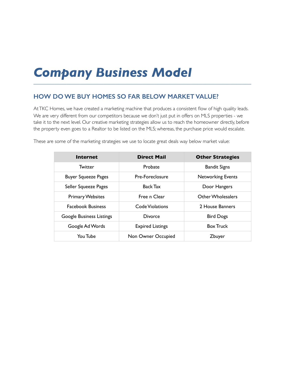## **HOW DO WE BUY HOMES SO FAR BELOW MARKET VALUE?**

At TKC Homes, we have created a marketing machine that produces a consistent flow of high quality leads. We are very different from our competitors because we don't just put in offers on MLS properties - we take it to the next level. Our creative marketing strategies allow us to reach the homeowner directly, before the property even goes to a Realtor to be listed on the MLS; whereas, the purchase price would escalate.

| <b>Internet</b>                 | <b>Direct Mail</b>      | <b>Other Strategies</b>  |
|---------------------------------|-------------------------|--------------------------|
| Twitter                         | Probate                 | <b>Bandit Signs</b>      |
| <b>Buyer Squeeze Pages</b>      | Pre-Foreclosure         | <b>Networking Events</b> |
| Seller Squeeze Pages            | Back Tax                | Door Hangers             |
| <b>Primary Websites</b>         | Free n Clear            | Other Wholesalers        |
| <b>Facebook Business</b>        | Code Violations         | 2 House Banners          |
| <b>Google Business Listings</b> | <b>Divorce</b>          | <b>Bird Dogs</b>         |
| Google Ad Words                 | <b>Expired Listings</b> | <b>Box Truck</b>         |
| You Tube                        | Non Owner Occupied      | Zbuyer                   |

These are some of the marketing strategies we use to locate great deals way below market value: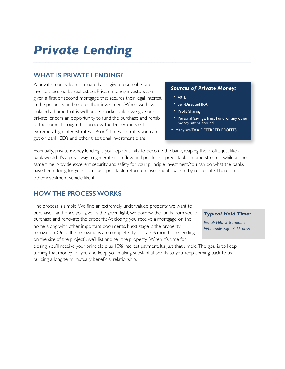## **WHAT IS PRIVATE LENDING?**

A private money loan is a loan that is given to a real estate investor, secured by real estate. Private money investors are given a first or second mortgage that secures their legal interest in the property and secures their investment. When we have isolated a home that is well under market value, we give our private lenders an opportunity to fund the purchase and rehab of the home. Through that process, the lender can yield extremely high interest rates – 4 or 5 times the rates you can get on bank CD's and other traditional investment plans.

### *Sources of Private Money:*

- 401k
- Self-Directed IRA
- Profit Sharing
- Personal Savings, Trust Fund, or any other money sitting around…
- Many are TAX DEFERRED PROFITS

Essentially, private money lending is your opportunity to become the bank, reaping the profits just like a bank would. It's a great way to generate cash flow and produce a predictable income stream - while at the same time, provide excellent security and safety for your principle investment. You can do what the banks have been doing for years…make a profitable return on investments backed by real estate. There is no other investment vehicle like it.

## **HOW THE PROCESS WORKS**

The process is simple. We find an extremely undervalued property we want to purchase - and once you give us the green light, we borrow the funds from you to purchase and renovate the property. At closing, you receive a mortgage on the home along with other important documents. Next stage is the property renovation. Once the renovations are complete (typically 3-6 months depending on the size of the project), we'll list and sell the property. When it's time for

#### *Typical Hold Time:*

*Rehab Flip: 3-6 months Wholesale Flip: 3-15 days*

closing, you'll receive your principle plus 10% interest payment. It's just that simple! The goal is to keep turning that money for you and keep you making substantial profits so you keep coming back to us – building a long term mutually beneficial relationship.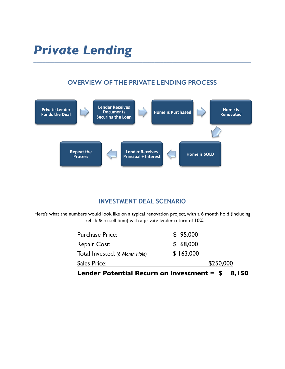# **OVERVIEW OF THE PRIVATE LENDING PROCESS**



## **INVESTMENT DEAL SCENARIO**

Here's what the numbers would look like on a typical renovation project, with a 6 month hold (including rehab & re-sell time) with a private lender return of 10%.

| Lender Potential Return on Investment = $$$<br>8,150 |           |  |
|------------------------------------------------------|-----------|--|
| Sales Price:                                         | \$250,000 |  |
| Total Invested: (6 Month Hold)                       | \$163,000 |  |
| Repair Cost:                                         | \$68,000  |  |
| <b>Purchase Price:</b>                               | \$95,000  |  |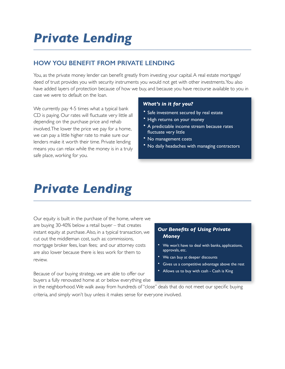# **HOW YOU BENEFIT FROM PRIVATE LENDING**

You, as the private money lender can benefit greatly from investing your capital. A real estate mortgage/ deed of trust provides you with security instruments you would not get with other investments. You also have added layers of protection because of how we buy, and because you have recourse available to you in case we were to default on the loan.

We currently pay 4-5 times what a typical bank CD is paying. Our rates will fluctuate very little all depending on the purchase price and rehab involved. The lower the price we pay for a home, we can pay a little higher rate to make sure our lenders make it worth their time. Private lending means you can relax while the money is in a truly safe place, working for you.

### *What's in it for you?*

- Safe investment secured by real estate
- High returns on your money
- A predictable income stream because rates fluctuate very little
- No management costs
- No daily headaches with managing contractors

# *Private Lending \_\_\_\_\_\_\_\_\_\_\_\_\_\_\_\_\_\_\_\_\_\_\_\_\_\_\_\_\_\_\_\_\_\_\_\_\_\_\_\_\_\_\_\_\_\_\_\_\_\_\_\_\_\_\_\_\_\_\_\_\_\_\_\_\_\_\_\_\_\_\_\_*

Our equity is built in the purchase of the home, where we are buying 30-40% below a retail buyer – that creates instant equity at purchase. Also, in a typical transaction, we cut out the middleman cost, such as: commissions, mortgage broker fees, loan fees; and our attorney costs are also lower because there is less work for them to review.

### *Our Benefits of Using Private Money*

- We won't have to deal with banks, applications, approvals, etc.
- We can buy at deeper discounts
- Gives us a competitive advantage above the rest
- Allows us to buy with cash Cash is King

Because of our buying strategy, we are able to offer our buyers a fully renovated home at or below everything else

in the neighborhood. We walk away from hundreds of "close" deals that do not meet our specific buying criteria, and simply won't buy unless it makes sense for everyone involved.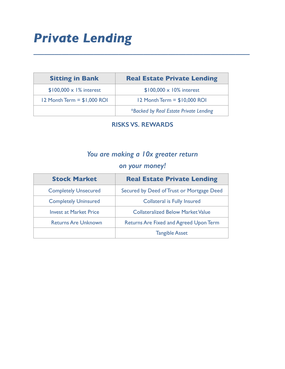# *Private Lending*

| <b>Sitting in Bank</b>         | <b>Real Estate Private Lending</b>     |
|--------------------------------|----------------------------------------|
| $$100,000 \times 1\%$ interest | $$100,000 \times 10\%$ interest        |
| $12$ Month Term = $$1,000$ ROI | 12 Month Term = $$10,000$ ROI          |
|                                | *Backed by Real Estate Private Lending |

# **RISKS VS. REWARDS**

**\_\_\_\_\_\_\_\_\_\_\_\_\_\_\_\_\_\_\_\_\_\_\_\_\_\_\_\_\_\_\_\_\_\_\_\_\_\_\_\_\_\_\_\_\_\_\_\_\_\_\_\_\_\_\_\_\_\_\_\_\_** 

# *You are making a 10x greater return*

# *on your money!*

| <b>Stock Market</b>           | <b>Real Estate Private Lending</b>            |
|-------------------------------|-----------------------------------------------|
| <b>Completely Unsecured</b>   | Secured by Deed of Trust or Mortgage Deed     |
| <b>Completely Uninsured</b>   | <b>Collateral is Fully Insured</b>            |
| <b>Invest at Market Price</b> | <b>Collateralized Below Market Value</b>      |
| <b>Returns Are Unknown</b>    | <b>Returns Are Fixed and Agreed Upon Term</b> |
|                               | <b>Tangible Asset</b>                         |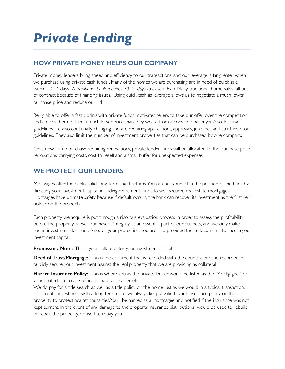# **HOW PRIVATE MONEY HELPS OUR COMPANY**

Private money lenders bring speed and efficiency to our transactions, and our leverage is far greater when we purchase using private cash funds . Many of the homes we are purchasing are in need of quick sale within 10-14 days. *A traditional bank requires 30-45 days to close a loan.* Many traditional home sales fall out of contract because of financing issues. Using quick cash as leverage allows us to negotiate a much lower purchase price and reduce our risk.

Being able to offer a fast closing with private funds motivates sellers to take our offer over the competition, and entices them to take a much lower price than they would from a conventional buyer. Also, lending guidelines are also continually changing and are requiring applications, approvals, junk fees and strict investor guidelines. They also limit the number of investment properties that can be purchased by one company.

On a new home purchase requiring renovations, private lender funds will be allocated to the purchase price, renovations, carrying costs, cost to resell and a small buffer for unexpected expenses.

## **WE PROTECT OUR LENDERS**

Mortgages offer the banks solid, long-term, fixed returns. You can put yourself in the position of the bank by directing your investment capital, including retirement funds to well-secured real estate mortgages. Mortgages have ultimate safety because if default occurs, the bank can recover its investment as the first lien holder on the property.

Each property we acquire is put through a rigorous evaluation process in order to assess the profitability before the property is ever purchased. "integrity" is an essential part of our business, and we only make sound investment decisions. Also, for your protection, you are also provided these documents to secure your investment capital:

**Promissory Note:** This is your collateral for your investment capital

**Deed of Trust/Mortgage:** This is the document that is recorded with the county clerk and recorder to publicly secure your investment against the real property that we are providing as collateral

**Hazard Insurance Policy:** This is where you as the private lender would be listed as the "Mortgagee" for your protection in case of fire or natural disaster, etc.

We do pay for a title search as well as a title policy on the home just as we would in a typical transaction. For a rental investment with a long-term note, we always keep a valid hazard insurance policy on the property to protect against causalities. You'll be named as a mortgagee and notified if the insurance was not kept current. In the event of any damage to the property, insurance distributions would be used to rebuild or repair the property, or used to repay you.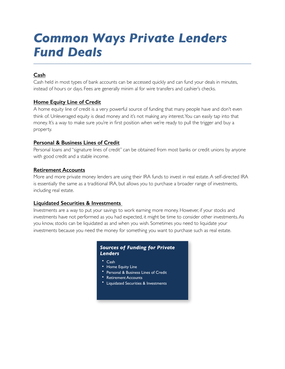# *Common Ways Private Lenders Fund Deals*

### **Cash**

Cash held in most types of bank accounts can be accessed quickly and can fund your deals in minutes, instead of hours or days. Fees are generally minim al for wire transfers and cashier's checks.

*\_\_\_\_\_\_\_\_\_\_\_\_\_\_\_\_\_\_\_\_\_\_\_\_\_\_\_\_\_\_\_\_\_\_\_\_\_\_\_\_\_\_\_\_\_\_\_\_\_\_\_\_\_\_\_\_\_\_\_\_\_\_\_\_\_\_\_\_\_\_\_\_*

### **Home Equity Line of Credit**

A home equity line of credit is a very powerful source of funding that many people have and don't even think of. Unleveraged equity is dead money and it's not making any interest. You can easily tap into that money. It's a way to make sure you're in first position when we're ready to pull the trigger and buy a property.

### **Personal & Business Lines of Credit**

Personal loans and "signature lines of credit" can be obtained from most banks or credit unions by anyone with good credit and a stable income.

### **Retirement Accounts**

More and more private money lenders are using their IRA funds to invest in real estate. A self-directed IRA is essentially the same as a traditional IRA, but allows you to purchase a broader range of investments, including real estate.

### **Liquidated Securities & Investments**

Investments are a way to put your savings to work earning more money. However, if your stocks and investments have not performed as you had expected, it might be time to consider other investments. As you know, stocks can be liquidated as and when you wish. Sometimes you need to liquidate your investments because you need the money for something you want to purchase such as real estate.

### *Sources of Funding for Private Lenders*

- Cash
- Home Equity Line
- Personal & Business Lines of Credit
- Retirement Accounts
- Liquidated Securities & Investments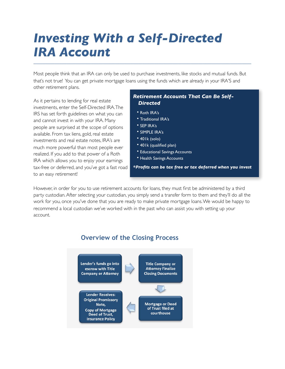# *Investing With a Self-Directed IRA Account \_\_\_\_\_\_\_\_\_\_\_\_\_\_\_\_\_\_\_\_\_\_\_\_\_\_\_\_\_\_\_\_\_\_\_\_\_\_\_\_\_\_\_\_\_\_\_\_\_\_\_\_\_\_\_\_\_\_\_\_\_\_\_\_\_\_\_\_\_\_\_\_*

Most people think that an IRA can only be used to purchase investments, like stocks and mutual funds. But that's not true! You can get private mortgage loans using the funds which are already in your IRA'S and other retirement plans.

As it pertains to lending for real estate investments, enter the Self-Directed IRA. The IRS has set forth guidelines on what you can and cannot invest in with your IRA. Many people are surprised at the scope of options available. From tax liens, gold, real estate investments and real estate notes, IRA's are much more powerful than most people ever realized. If you add to that power of a Roth IRA which allows you to enjoy your earnings tax-free or deferred, and you've got a fast road to an easy retirement!

### *Retirement Accounts That Can Be Self-Directed*

- Roth IRA's
- Traditional IRA's
- SEP IRA's
- SIMPLE IRA's
- 401k (solo)
- 401k (qualified plan)
- Educational Savings Accounts
- Health Savings Accounts

*\*Profits can be tax free or tax deferred when you invest* 

However, in order for you to use retirement accounts for loans, they must first be administered by a third party custodian. After selecting your custodian, you simply send a transfer form to them and they'll do all the work for you, once you've done that you are ready to make private mortgage loans. We would be happy to recommend a local custodian we've worked with in the past who can assist you with setting up your account.



## **Overview of the Closing Process**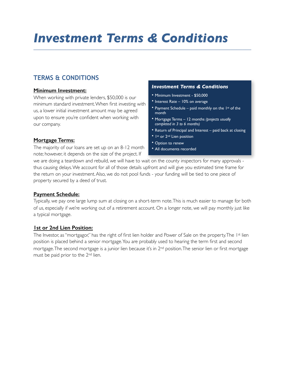# *Investment Terms & Conditions \_\_\_\_\_\_\_\_\_\_\_\_\_\_\_\_\_\_\_\_\_\_\_\_\_\_\_\_\_\_\_\_\_\_\_\_\_\_\_\_\_\_\_\_\_\_\_\_\_\_\_\_\_\_\_\_\_\_\_\_\_\_\_\_\_\_\_\_\_\_\_\_*

## **TERMS & CONDITIONS**

### **Minimum Investment:**

When working with private lenders, \$50,000 is our minimum standard investment. When first investing with us, a lower initial investment amount may be agreed upon to ensure you're confident when working with our company.

### *Investment Terms & Conditions*

- Minimum Investment \$50,000
- Interest Rate 10% on average
- Payment Schedule paid monthly on the  $1st$  of the month
- Mortgage Terms 12 months *(projects usually completed in 3 to 6 months)*
- Return of Principal and Interest paid back at closing
- 1st or 2<sup>nd</sup> Lien position
- Option to renew
- All documents recorded

### **Mortgage Terms:**

The majority of our loans are set up on an 8-12 month note; however, it depends on the size of the project. If

we are doing a teardown and rebuild, we will have to wait on the county inspectors for many approvals thus causing delays. We account for all of those details upfront and will give you estimated time frame for the return on your investment. Also, we do not pool funds - your funding will be tied to one piece of property secured by a deed of trust.

### **Payment Schedule:**

Typically, we pay one large lump sum at closing on a short-term note. This is much easier to manage for both of us, especially if we're working out of a retirement account. On a longer note, we will pay monthly just like a typical mortgage.

### **1st or 2nd Lien Position:**

The Investor, as "mortgagor," has the right of first lien holder and Power of Sale on the property. The 1<sup>st</sup> lien position is placed behind a senior mortgage. You are probably used to hearing the term first and second mortgage. The second mortgage is a junior lien because it's in 2nd position. The senior lien or first mortgage must be paid prior to the 2nd lien.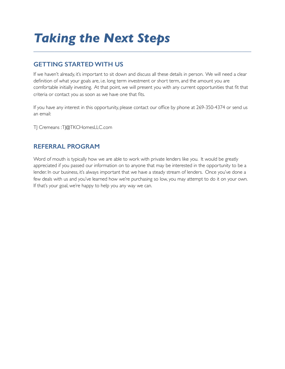# *Taking the Next Steps*

## **GETTING STARTED WITH US**

If we haven't already, it's important to sit down and discuss all these details in person. We will need a clear definition of what your goals are, i.e. long term investment or short term, and the amount you are comfortable initially investing. At that point, we will present you with any current opportunities that fit that criteria or contact you as soon as we have one that fits.

*\_\_\_\_\_\_\_\_\_\_\_\_\_\_\_\_\_\_\_\_\_\_\_\_\_\_\_\_\_\_\_\_\_\_\_\_\_\_\_\_\_\_\_\_\_\_\_\_\_\_\_\_\_\_\_\_\_\_\_\_\_\_\_\_\_\_\_\_\_\_\_\_*

If you have any interest in this opportunity, please contact our office by phone at 269-350-4374 or send us an email:

TJ Cremeans : TJ@TKCHomesLLC.com

## **REFERRAL PROGRAM**

Word of mouth is typically how we are able to work with private lenders like you. It would be greatly appreciated if you passed our information on to anyone that may be interested in the opportunity to be a lender. In our business, it's always important that we have a steady stream of lenders. Once you've done a few deals with us and you've learned how we're purchasing so low, you may attempt to do it on your own. If that's your goal, we're happy to help you any way we can.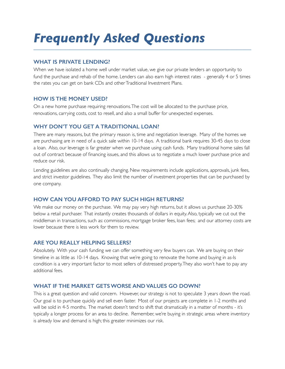# *Frequently Asked Questions \_\_\_\_\_\_\_\_\_\_\_\_\_\_\_\_\_\_\_\_\_\_\_\_\_\_\_\_\_\_\_\_\_\_\_\_\_\_\_\_\_\_\_\_\_\_\_\_\_\_\_\_\_\_\_\_\_\_\_\_\_\_\_\_\_\_\_\_\_\_\_\_*

### **WHAT IS PRIVATE LENDING?**

When we have isolated a home well under market value, we give our private lenders an opportunity to fund the purchase and rehab of the home. Lenders can also earn high interest rates - generally 4 or 5 times the rates you can get on bank CDs and other Traditional Investment Plans.

### **HOW IS THE MONEY USED?**

On a new home purchase requiring renovations. The cost will be allocated to the purchase price, renovations, carrying costs, cost to resell, and also a small buffer for unexpected expenses.

### **WHY DON'T YOU GET A TRADITIONAL LOAN?**

There are many reasons, but the primary reason is, time and negotiation leverage. Many of the homes we are purchasing are in need of a quick sale within 10-14 days. A traditional bank requires 30-45 days to close a loan. Also, our leverage is far greater when we purchase using cash funds. Many traditional home sales fall out of contract because of financing issues, and this allows us to negotiate a much lower purchase price and reduce our risk.

Lending guidelines are also continually changing. New requirements include applications, approvals, junk fees, and strict investor guidelines. They also limit the number of investment properties that can be purchased by one company.

### **HOW CAN YOU AFFORD TO PAY SUCH HIGH RETURNS?**

We make our money on the purchase. We may pay very high returns, but it allows us purchase 20-30% below a retail purchaser. That instantly creates thousands of dollars in equity. Also, typically we cut out the middleman in transactions, such as: commissions, mortgage broker fees, loan fees; and our attorney costs are lower because there is less work for them to review.

### **ARE YOU REALLY HELPING SELLERS?**

Absolutely. With your cash funding we can offer something very few buyers can. We are buying on their timeline in as little as 10-14 days. Knowing that we're going to renovate the home and buying in as-Is condition is a very important factor to most sellers of distressed property. They also won't have to pay any additional fees.

### **WHAT IF THE MARKET GETS WORSE AND VALUES GO DOWN?**

This is a great question and valid concern. However, our strategy is not to speculate 3 years down the road. Our goal is to purchase quickly and sell even faster. Most of our projects are complete in 1-2 months and will be sold in 4-5 months. The market doesn't tend to shift that dramatically in a matter of months - it's typically a longer process for an area to decline. Remember, we're buying in strategic areas where inventory is already low and demand is high; this greater minimizes our risk.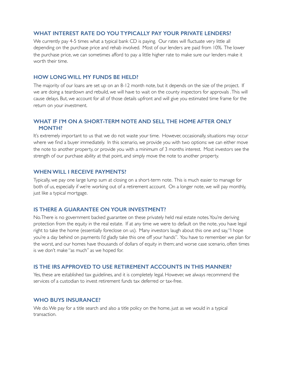### **WHAT INTEREST RATE DO YOU TYPICALLY PAY YOUR PRIVATE LENDERS?**

We currently pay 4-5 times what a typical bank CD is paying. Our rates will fluctuate very little all depending on the purchase price and rehab involved. Most of our lenders are paid from 10%. The lower the purchase price, we can sometimes afford to pay a little higher rate to make sure our lenders make it worth their time.

### **HOW LONG WILL MY FUNDS BE HELD?**

The majority of our loans are set up on an 8-12 month note, but it depends on the size of the project. If we are doing a teardown and rebuild, we will have to wait on the county inspectors for approvals . This will cause delays. But, we account for all of those details upfront and will give you estimated time frame for the return on your investment.

### **WHAT IF I'M ON A SHORT-TERM NOTE AND SELL THE HOME AFTER ONLY MONTH?**

It's extremely important to us that we do not waste your time. However, occasionally, situations may occur where we find a buyer immediately. In this scenario, we provide you with two options: we can either move the note to another property, or provide you with a minimum of 3 months interest. Most investors see the strength of our purchase ability at that point, and simply move the note to another property.

### **WHEN WILL I RECEIVE PAYMENTS?**

Typically, we pay one large lump sum at closing on a short-term note. This is much easier to manage for both of us, especially if we're working out of a retirement account. On a longer note, we will pay monthly, just like a typical mortgage.

#### **IS THERE A GUARANTEE ON YOUR INVESTMENT?**

No. There is no government backed guarantee on these privately held real estate notes. You're deriving protection from the equity in the real estate. If at any time we were to default on the note, you have legal right to take the home (essentially foreclose on us). Many investors laugh about this one and say, "I hope you're a day behind on payments I'd gladly take this one off your hands". You have to remember we plan for the worst, and our homes have thousands of dollars of equity in them; and worse case scenario, often times is we don't make "as much" as we hoped for.

### **IS THE IRS APPROVED TO USE RETIREMENT ACCOUNTS IN THIS MANNER?**

Yes, these are established tax guidelines, and it is completely legal. However, we always recommend the services of a custodian to invest retirement funds tax deferred or tax-free.

### **WHO BUYS INSURANCE?**

We do. We pay for a title search and also a title policy on the home, just as we would in a typical transaction.